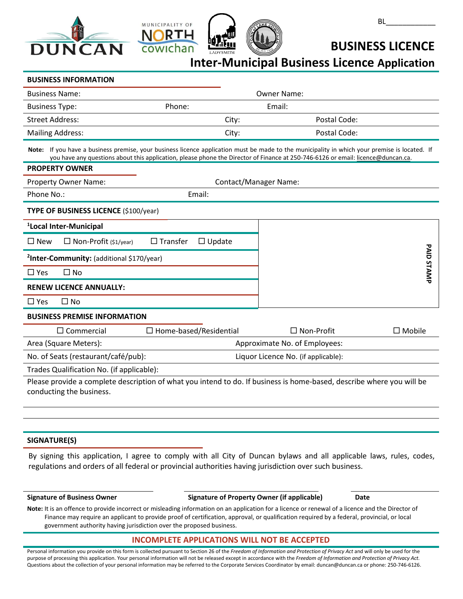





**BUSINESS LICENCE**

**Inter-Municipal Business Licence Application**

### **BUSINESS INFORMATION**

| <b>Business Name:</b>   |        |        | <b>Owner Name:</b> |              |
|-------------------------|--------|--------|--------------------|--------------|
| <b>Business Type:</b>   | Phone: | Email: |                    |              |
| Street Address:         |        | City:  |                    | Postal Code: |
| <b>Mailing Address:</b> |        | City:  |                    | Postal Code: |

**Note:** If you have a business premise, your business licence application must be made to the municipality in which your premise is located. If you have any questions about this application, please phone the Director of Finance at 250-746-6126 or email: [licence@duncan.ca.](mailto:finance@duncan.ca)

#### **PROPERTY OWNER**

|                                       | Property Owner Name:                                  | <b>Contact/Manager Name:</b>     |  |                                     |               |  |
|---------------------------------------|-------------------------------------------------------|----------------------------------|--|-------------------------------------|---------------|--|
| Phone No.:                            |                                                       | Email:                           |  |                                     |               |  |
| TYPE OF BUSINESS LICENCE (\$100/year) |                                                       |                                  |  |                                     |               |  |
|                                       | <sup>1</sup> Local Inter-Municipal                    |                                  |  |                                     |               |  |
| $\square$ New                         | $\Box$ Non-Profit (\$1/year)                          | $\Box$ Transfer<br>$\Box$ Update |  |                                     |               |  |
|                                       | <sup>2</sup> Inter-Community: (additional \$170/year) |                                  |  |                                     | DAID          |  |
| $\square$ Yes                         | $\square$ No                                          |                                  |  |                                     | STAMP         |  |
|                                       | <b>RENEW LICENCE ANNUALLY:</b>                        |                                  |  |                                     |               |  |
| $\square$ Yes                         | $\Box$ No                                             |                                  |  |                                     |               |  |
| <b>BUSINESS PREMISE INFORMATION</b>   |                                                       |                                  |  |                                     |               |  |
|                                       | $\Box$ Commercial                                     | $\Box$ Home-based/Residential    |  | $\Box$ Non-Profit                   | $\Box$ Mobile |  |
|                                       | Area (Square Meters):                                 |                                  |  | Approximate No. of Employees:       |               |  |
|                                       | No. of Seats (restaurant/café/pub):                   |                                  |  | Liquor Licence No. (if applicable): |               |  |

Trades Qualification No. (if applicable):

Please provide a complete description of what you intend to do. If business is home-based, describe where you will be conducting the business.

# **SIGNATURE(S)**

By signing this application, I agree to comply with all City of Duncan bylaws and all applicable laws, rules, codes, regulations and orders of all federal or provincial authorities having jurisdiction over such business.

**Signature of Business Owner Signature of Property Owner (if applicable) Date**

**Note:** It is an offence to provide incorrect or misleading information on an application for a licence or renewal of a licence and the Director of Finance may require an applicant to provide proof of certification, approval, or qualification required by a federal, provincial, or local government authority having jurisdiction over the proposed business.

# **INCOMPLETE APPLICATIONS WILL NOT BE ACCEPTED**

Personal information you provide on this form is collected pursuant to Section 26 of the *Freedom of Information and Protection of Privacy Act* and will only be used for the purpose of processing this application. Your personal information will not be released except in accordance with the *Freedom of Information and Protection of Privacy Act.* Questions about the collection of your personal information may be referred to the Corporate Services Coordinator by email: duncan@duncan.ca or phone: 250-746-6126.